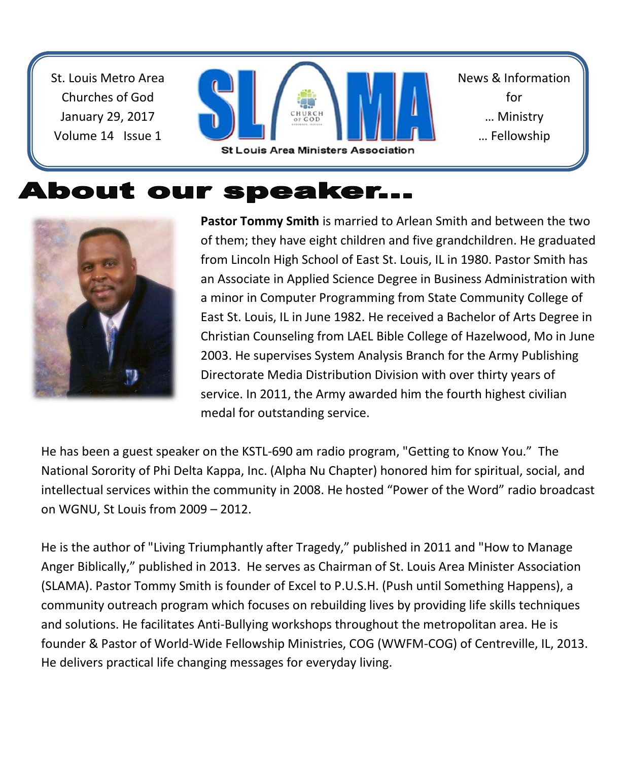St. Louis Metro Area Churches of God January 29, 2017 Volume 14 Issue 1



News & Information for … Ministry … Fellowship

# About our speaker...



**Pastor Tommy Smith** is married to Arlean Smith and between the two of them; they have eight children and five grandchildren. He graduated from Lincoln High School of East St. Louis, IL in 1980. Pastor Smith has an Associate in Applied Science Degree in Business Administration with a minor in Computer Programming from State Community College of East St. Louis, IL in June 1982. He received a Bachelor of Arts Degree in Christian Counseling from LAEL Bible College of Hazelwood, Mo in June 2003. He supervises System Analysis Branch for the Army Publishing Directorate Media Distribution Division with over thirty years of service. In 2011, the Army awarded him the fourth highest civilian medal for outstanding service.

He has been a guest speaker on the KSTL-690 am radio program, "Getting to Know You." The National Sorority of Phi Delta Kappa, Inc. (Alpha Nu Chapter) honored him for spiritual, social, and intellectual services within the community in 2008. He hosted "Power of the Word" radio broadcast on WGNU, St Louis from 2009 – 2012.

He is the author of "Living Triumphantly after Tragedy," published in 2011 and "How to Manage Anger Biblically," published in 2013. He serves as Chairman of St. Louis Area Minister Association (SLAMA). Pastor Tommy Smith is founder of Excel to P.U.S.H. (Push until Something Happens), a community outreach program which focuses on rebuilding lives by providing life skills techniques and solutions. He facilitates Anti-Bullying workshops throughout the metropolitan area. He is founder & Pastor of World-Wide Fellowship Ministries, COG (WWFM-COG) of Centreville, IL, 2013. He delivers practical life changing messages for everyday living.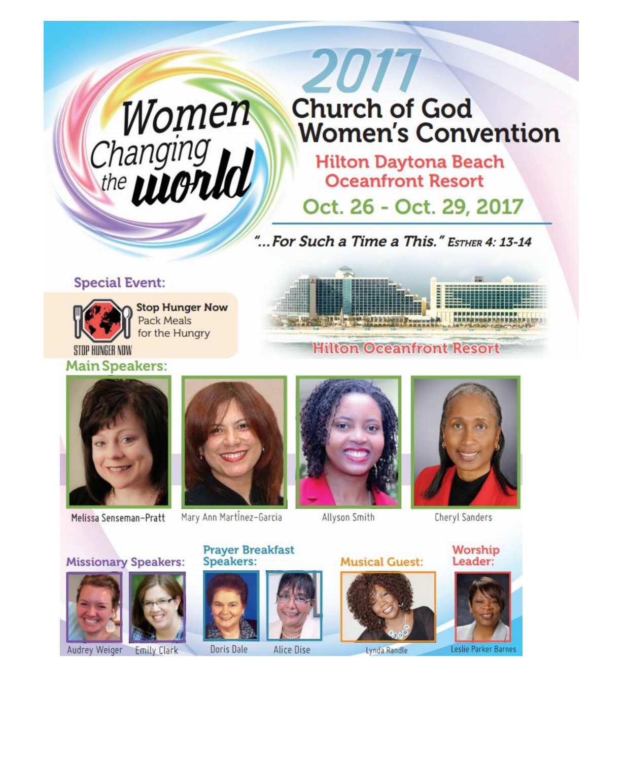# Women<br>Changing<br>the **WONU**

# 2017 **Church of God Women's Convention**

**Hilton Daytona Beach Oceanfront Resort** 

Oct. 26 - Oct. 29, 2017

"... For Such a Time a This." ESTHER 4: 13-14

#### **Special Event:**



**Stop Hunger Now Pack Meals** for the Hungry

STOP HUNGER NOW **Main Speakers:** 



### **Hilton Oceanfront Resort**



Melissa Senseman-Pratt



Mary Ann Martinez-Garcia

**Prayer Breakfast** 



Allyson Smith



**Cheryl Sanders** 

Worship Leader:



Lynda Randle

**Musical Guest:** 





Leslie Parker Barnes

**Missionary Speakers:** 





**Speakers:** 



Doris Dale **Alice Dise**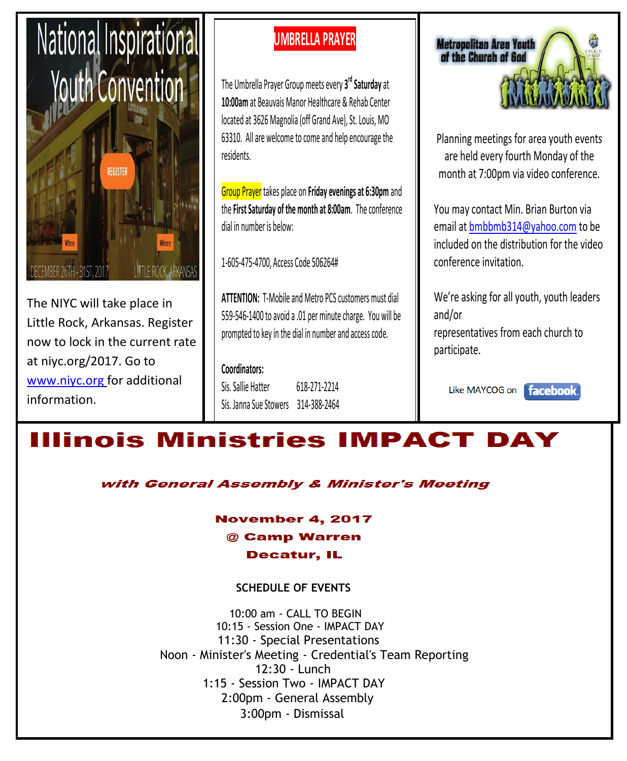

The NIYC will take place in Little Rock, Arkansas. Register now to lock in the current rate at niyc.org/2017. Go to [www.niyc.org](http://www.niyc.org/) for additional information.

## **UMBRELLA PRAYER**

The Umbrella Prayer Group meets every **3 rd Saturday** at **10:00am** at Beauvais Manor Healthcare & Rehab Center located at 3626 Magnolia (off Grand Ave), St. Louis, MO 63310. All are welcome to come and help encourage the residents.

Group Prayer takes place on **Friday evenings at 6:30pm** and the **First Saturday of the month at 8:00am**. The conference dial in number is below:

1-605-475-4700, Access Code 506264#

**ATTENTION:** T-Mobile and Metro PCS customers must dial 559-546-1400 to avoid a .01 per minute charge. You will be prompted to key in the dial in number and access code.

**Coordinators:** Sis. Sallie Hatter 618-271-2214 Sis. Janna Sue Stowers 314-388-2464



Planning meetings for area youth events are held every fourth Monday of the month at 7:00pm via video conference.

You may contact Min. Brian Burton via email at bmbbmb314@yahoo.com to be included on the distribution for the video conference invitation.

We're asking for all youth, youth leaders and/or representatives from each church to participate.

Like MAYCOG on facebook.

# **Illinois Ministries IMPACT DAY**

with General Assembly & Minister's Meeting

**November 4, 2017** @ Camp Warren **Decatur, IL** 

#### **SCHEDULE OF EVENTS**

10:00 am - CALL TO BEGIN 10:15 - Session One - IMPACT DAY 11:30 - Special Presentations Noon - Minister's Meeting - Credential's Team Reporting 12:30 - Lunch 1:15 - Session Two - IMPACT DAY 2:00pm - General Assembly 3:00pm - Dismissal